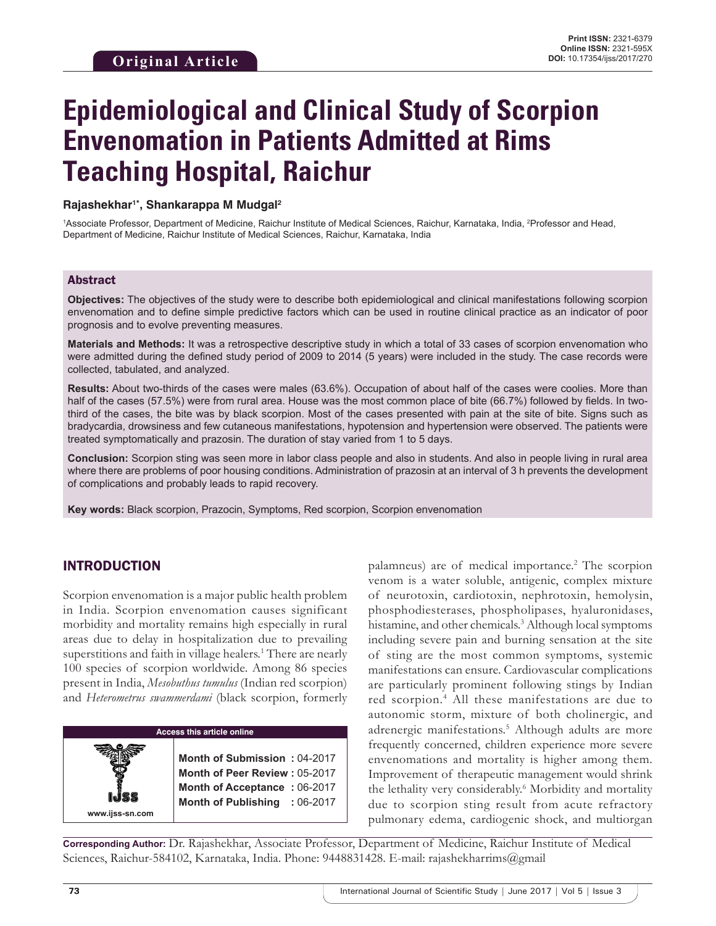# **Epidemiological and Clinical Study of Scorpion Envenomation in Patients Admitted at Rims Teaching Hospital, Raichur**

#### **Rajashekhar1\*, Shankarappa M Mudgal2**

<sup>1</sup>Associate Professor, Department of Medicine, Raichur Institute of Medical Sciences, Raichur, Karnataka, India, <sup>2</sup>Professor and Head, Department of Medicine, Raichur Institute of Medical Sciences, Raichur, Karnataka, India

#### Abstract

**Objectives:** The objectives of the study were to describe both epidemiological and clinical manifestations following scorpion envenomation and to define simple predictive factors which can be used in routine clinical practice as an indicator of poor prognosis and to evolve preventing measures.

**Materials and Methods:** It was a retrospective descriptive study in which a total of 33 cases of scorpion envenomation who were admitted during the defined study period of 2009 to 2014 (5 years) were included in the study. The case records were collected, tabulated, and analyzed.

**Results:** About two-thirds of the cases were males (63.6%). Occupation of about half of the cases were coolies. More than half of the cases (57.5%) were from rural area. House was the most common place of bite (66.7%) followed by fields. In twothird of the cases, the bite was by black scorpion. Most of the cases presented with pain at the site of bite. Signs such as bradycardia, drowsiness and few cutaneous manifestations, hypotension and hypertension were observed. The patients were treated symptomatically and prazosin. The duration of stay varied from 1 to 5 days.

**Conclusion:** Scorpion sting was seen more in labor class people and also in students. And also in people living in rural area where there are problems of poor housing conditions. Administration of prazosin at an interval of 3 h prevents the development of complications and probably leads to rapid recovery.

**Key words:** Black scorpion, Prazocin, Symptoms, Red scorpion, Scorpion envenomation

### INTRODUCTION

Scorpion envenomation is a major public health problem in India. Scorpion envenomation causes significant morbidity and mortality remains high especially in rural areas due to delay in hospitalization due to prevailing superstitions and faith in village healers.<sup>1</sup> There are nearly 100 species of scorpion worldwide. Among 86 species present in India, *Mesobuthus tumulus* (Indian red scorpion) and *Heterometrus swammerdami* (black scorpion, formerly



palamneus) are of medical importance.<sup>2</sup> The scorpion venom is a water soluble, antigenic, complex mixture of neurotoxin, cardiotoxin, nephrotoxin, hemolysin, phosphodiesterases, phospholipases, hyaluronidases, histamine, and other chemicals.<sup>3</sup> Although local symptoms including severe pain and burning sensation at the site of sting are the most common symptoms, systemic manifestations can ensure. Cardiovascular complications are particularly prominent following stings by Indian red scorpion.4 All these manifestations are due to autonomic storm, mixture of both cholinergic, and adrenergic manifestations.5 Although adults are more frequently concerned, children experience more severe envenomations and mortality is higher among them. Improvement of therapeutic management would shrink the lethality very considerably.<sup>6</sup> Morbidity and mortality due to scorpion sting result from acute refractory pulmonary edema, cardiogenic shock, and multiorgan

**Corresponding Author:** Dr. Rajashekhar, Associate Professor, Department of Medicine, Raichur Institute of Medical Sciences, Raichur-584102, Karnataka, India. Phone: 9448831428. E-mail: rajashekharrims@gmail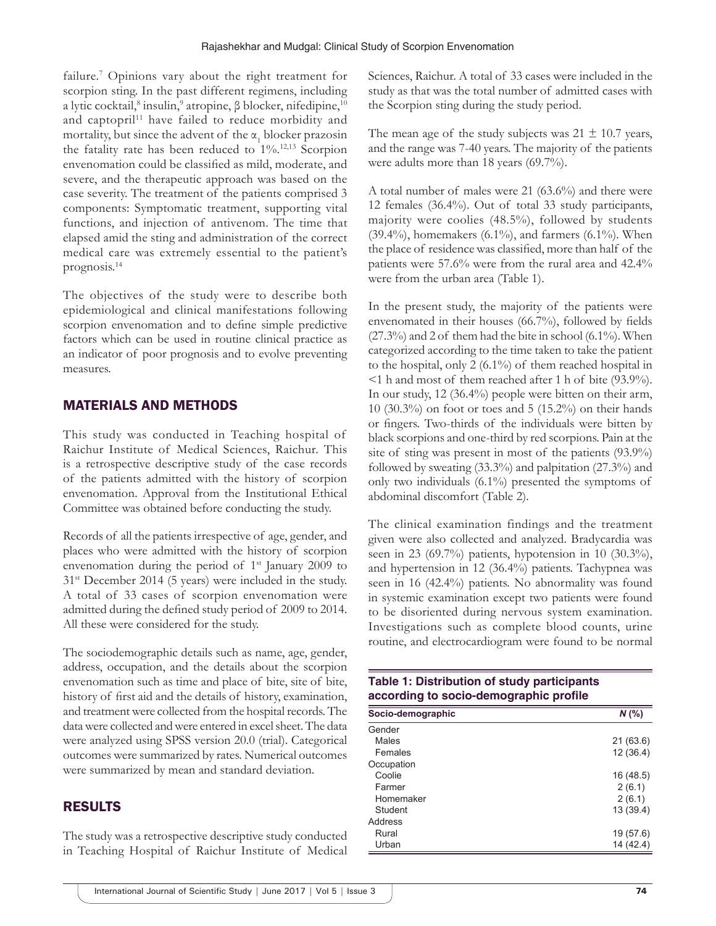failure.7 Opinions vary about the right treatment for scorpion sting. In the past different regimens, including a lytic cocktail,<sup>8</sup> insulin,<sup>9</sup> atropine, β blocker, nifedipine,<sup>10</sup> and captopril<sup>11</sup> have failed to reduce morbidity and mortality, but since the advent of the  $\alpha_1$  blocker prazosin the fatality rate has been reduced to  $1\%$ .<sup>12,13</sup> Scorpion envenomation could be classified as mild, moderate, and severe, and the therapeutic approach was based on the case severity. The treatment of the patients comprised 3 components: Symptomatic treatment, supporting vital functions, and injection of antivenom. The time that elapsed amid the sting and administration of the correct medical care was extremely essential to the patient's prognosis.14

The objectives of the study were to describe both epidemiological and clinical manifestations following scorpion envenomation and to define simple predictive factors which can be used in routine clinical practice as an indicator of poor prognosis and to evolve preventing measures.

### MATERIALS AND METHODS

This study was conducted in Teaching hospital of Raichur Institute of Medical Sciences, Raichur. This is a retrospective descriptive study of the case records of the patients admitted with the history of scorpion envenomation. Approval from the Institutional Ethical Committee was obtained before conducting the study.

Records of all the patients irrespective of age, gender, and places who were admitted with the history of scorpion envenomation during the period of 1<sup>st</sup> January 2009 to 31st December 2014 (5 years) were included in the study. A total of 33 cases of scorpion envenomation were admitted during the defined study period of 2009 to 2014. All these were considered for the study.

The sociodemographic details such as name, age, gender, address, occupation, and the details about the scorpion envenomation such as time and place of bite, site of bite, history of first aid and the details of history, examination, and treatment were collected from the hospital records. The data were collected and were entered in excel sheet. The data were analyzed using SPSS version 20.0 (trial). Categorical outcomes were summarized by rates. Numerical outcomes were summarized by mean and standard deviation.

# RESULTS

The study was a retrospective descriptive study conducted in Teaching Hospital of Raichur Institute of Medical Sciences, Raichur. A total of 33 cases were included in the study as that was the total number of admitted cases with the Scorpion sting during the study period.

The mean age of the study subjects was  $21 \pm 10.7$  years, and the range was 7-40 years. The majority of the patients were adults more than 18 years (69.7%).

A total number of males were 21 (63.6%) and there were 12 females (36.4%). Out of total 33 study participants, majority were coolies (48.5%), followed by students (39.4%), homemakers (6.1%), and farmers (6.1%). When the place of residence was classified, more than half of the patients were 57.6% were from the rural area and 42.4% were from the urban area (Table 1).

In the present study, the majority of the patients were envenomated in their houses (66.7%), followed by fields  $(27.3\%)$  and 2 of them had the bite in school  $(6.1\%)$ . When categorized according to the time taken to take the patient to the hospital, only 2 (6.1%) of them reached hospital in <1 h and most of them reached after 1 h of bite (93.9%). In our study, 12 (36.4%) people were bitten on their arm, 10 (30.3%) on foot or toes and 5 (15.2%) on their hands or fingers. Two-thirds of the individuals were bitten by black scorpions and one-third by red scorpions. Pain at the site of sting was present in most of the patients (93.9%) followed by sweating (33.3%) and palpitation (27.3%) and only two individuals (6.1%) presented the symptoms of abdominal discomfort (Table 2).

The clinical examination findings and the treatment given were also collected and analyzed. Bradycardia was seen in 23 (69.7%) patients, hypotension in 10 (30.3%), and hypertension in 12 (36.4%) patients. Tachypnea was seen in 16 (42.4%) patients. No abnormality was found in systemic examination except two patients were found to be disoriented during nervous system examination. Investigations such as complete blood counts, urine routine, and electrocardiogram were found to be normal

| Table 1: Distribution of study participants<br>according to socio-demographic profile |           |
|---------------------------------------------------------------------------------------|-----------|
| Socio-demographic                                                                     | $N$ (%)   |
| Gender                                                                                |           |
| Males                                                                                 | 21 (63.6) |
| Females                                                                               | 12(36.4)  |
| Occupation                                                                            |           |
| Coolie                                                                                | 16 (48.5) |
| Farmer                                                                                | 2(6.1)    |
| Homemaker                                                                             | 2(6.1)    |
| Student                                                                               | 13 (39.4) |
| Address                                                                               |           |
| Rural                                                                                 | 19 (57.6) |
| Urban                                                                                 | 14 (42.4) |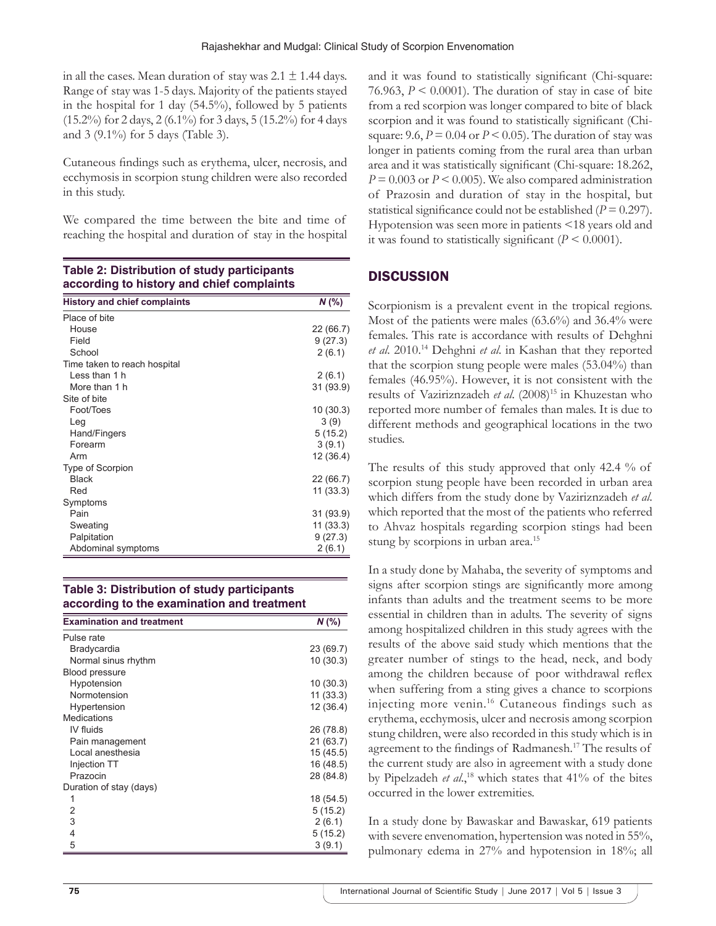in all the cases. Mean duration of stay was  $2.1 \pm 1.44$  days. Range of stay was 1-5 days. Majority of the patients stayed in the hospital for 1 day (54.5%), followed by 5 patients (15.2%) for 2 days, 2 (6.1%) for 3 days, 5 (15.2%) for 4 days and 3 (9.1%) for 5 days (Table 3).

Cutaneous findings such as erythema, ulcer, necrosis, and ecchymosis in scorpion stung children were also recorded in this study.

We compared the time between the bite and time of reaching the hospital and duration of stay in the hospital

| Table 2: Distribution of study participants<br>according to history and chief complaints |           |  |
|------------------------------------------------------------------------------------------|-----------|--|
| <b>History and chief complaints</b>                                                      | $N$ (%)   |  |
| Place of bite                                                                            |           |  |
| House                                                                                    | 22 (66.7) |  |
| Field                                                                                    | 9(27.3)   |  |
| School                                                                                   | 2(6.1)    |  |
| Time taken to reach hospital                                                             |           |  |
| I ess than 1 h                                                                           | 2(6.1)    |  |
| More than 1 h                                                                            | 31 (93.9) |  |
| Site of bite                                                                             |           |  |
| Foot/Toes                                                                                | 10(30.3)  |  |
| Leg                                                                                      | 3(9)      |  |
| Hand/Fingers                                                                             | 5(15.2)   |  |
| Forearm                                                                                  | 3(9.1)    |  |
| Arm                                                                                      | 12 (36.4) |  |
| Type of Scorpion                                                                         |           |  |
| <b>Black</b>                                                                             | 22 (66.7) |  |
| Red                                                                                      | 11 (33.3) |  |
| Symptoms                                                                                 |           |  |
| Pain                                                                                     | 31 (93.9) |  |
| Sweating                                                                                 | 11 (33.3) |  |
| Palpitation                                                                              | 9(27.3)   |  |
| Abdominal symptoms                                                                       | 2(6.1)    |  |

# **Table 2: Distribution of study participants**

### **Table 3: Distribution of study participants according to the examination and treatment**

| <b>Examination and treatment</b> | $N$ (%)   |
|----------------------------------|-----------|
| Pulse rate                       |           |
| Bradycardia                      | 23 (69.7) |
| Normal sinus rhythm              | 10(30.3)  |
| Blood pressure                   |           |
| Hypotension                      | 10(30.3)  |
| Normotension                     | 11(33.3)  |
| Hypertension                     | 12(36.4)  |
| <b>Medications</b>               |           |
| IV fluids                        | 26 (78.8) |
| Pain management                  | 21 (63.7) |
| Local anesthesia                 | 15(45.5)  |
| Injection TT                     | 16 (48.5) |
| Prazocin                         | 28 (84.8) |
| Duration of stay (days)          |           |
| 1                                | 18 (54.5) |
| 2                                | 5(15.2)   |
| 3                                | 2(6.1)    |
| 4                                | 5(15.2)   |
| 5                                | 3(9.1)    |

and it was found to statistically significant (Chi-square: 76.963,  $P \le 0.0001$ ). The duration of stay in case of bite from a red scorpion was longer compared to bite of black scorpion and it was found to statistically significant (Chisquare: 9.6,  $P = 0.04$  or  $P < 0.05$ ). The duration of stay was longer in patients coming from the rural area than urban area and it was statistically significant (Chi-square: 18.262, *P* = 0.003 or *P* < 0.005). We also compared administration of Prazosin and duration of stay in the hospital, but statistical significance could not be established  $(P = 0.297)$ . Hypotension was seen more in patients <18 years old and it was found to statistically significant  $(P \le 0.0001)$ .

## **DISCUSSION**

Scorpionism is a prevalent event in the tropical regions. Most of the patients were males (63.6%) and 36.4% were females. This rate is accordance with results of Dehghni *et al*. 2010.14 Dehghni *et al*. in Kashan that they reported that the scorpion stung people were males (53.04%) than females (46.95%). However, it is not consistent with the results of Vaziriznzadeh *et al*. (2008)15 in Khuzestan who reported more number of females than males. It is due to different methods and geographical locations in the two studies.

The results of this study approved that only 42.4 % of scorpion stung people have been recorded in urban area which differs from the study done by Vaziriznzadeh *et al*. which reported that the most of the patients who referred to Ahvaz hospitals regarding scorpion stings had been stung by scorpions in urban area.<sup>15</sup>

In a study done by Mahaba, the severity of symptoms and signs after scorpion stings are significantly more among infants than adults and the treatment seems to be more essential in children than in adults. The severity of signs among hospitalized children in this study agrees with the results of the above said study which mentions that the greater number of stings to the head, neck, and body among the children because of poor withdrawal reflex when suffering from a sting gives a chance to scorpions injecting more venin.16 Cutaneous findings such as erythema, ecchymosis, ulcer and necrosis among scorpion stung children, were also recorded in this study which is in agreement to the findings of Radmanesh.17 The results of the current study are also in agreement with a study done by Pipelzadeh et al.,<sup>18</sup> which states that 41% of the bites occurred in the lower extremities.

In a study done by Bawaskar and Bawaskar, 619 patients with severe envenomation, hypertension was noted in 55%, pulmonary edema in 27% and hypotension in 18%; all